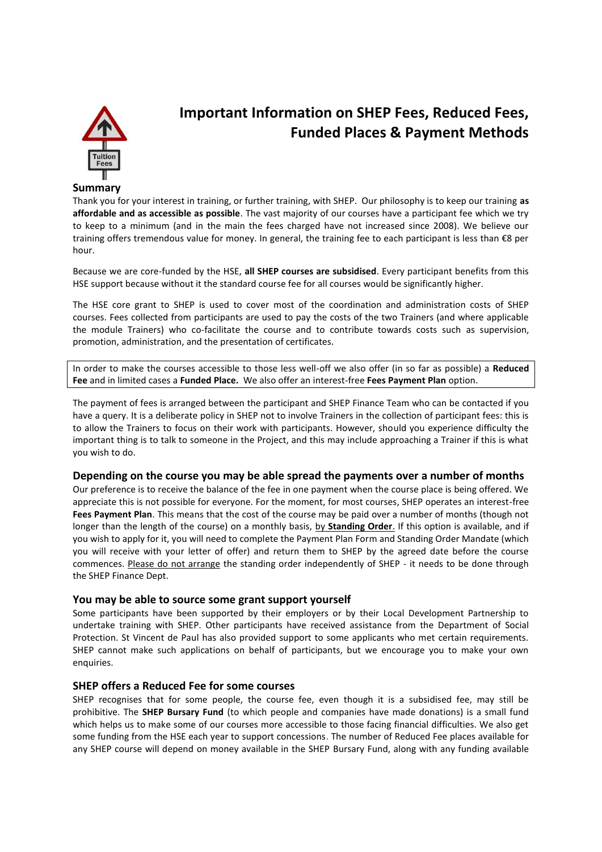

# **Important Information on SHEP Fees, Reduced Fees, Funded Places & Payment Methods**

#### **Summary**

Thank you for your interest in training, or further training, with SHEP. Our philosophy is to keep our training **as affordable and as accessible as possible**. The vast majority of our courses have a participant fee which we try to keep to a minimum (and in the main the fees charged have not increased since 2008). We believe our training offers tremendous value for money. In general, the training fee to each participant is less than €8 per hour.

Because we are core-funded by the HSE, **all SHEP courses are subsidised**. Every participant benefits from this HSE support because without it the standard course fee for all courses would be significantly higher.

The HSE core grant to SHEP is used to cover most of the coordination and administration costs of SHEP courses. Fees collected from participants are used to pay the costs of the two Trainers (and where applicable the module Trainers) who co-facilitate the course and to contribute towards costs such as supervision, promotion, administration, and the presentation of certificates.

In order to make the courses accessible to those less well-off we also offer (in so far as possible) a **Reduced Fee** and in limited cases a **Funded Place.** We also offer an interest-free **Fees Payment Plan** option.

The payment of fees is arranged between the participant and SHEP Finance Team who can be contacted if you have a query. It is a deliberate policy in SHEP not to involve Trainers in the collection of participant fees: this is to allow the Trainers to focus on their work with participants. However, should you experience difficulty the important thing is to talk to someone in the Project, and this may include approaching a Trainer if this is what you wish to do.

#### **Depending on the course you may be able spread the payments over a number of months**

Our preference is to receive the balance of the fee in one payment when the course place is being offered. We appreciate this is not possible for everyone. For the moment, for most courses, SHEP operates an interest-free **Fees Payment Plan**. This means that the cost of the course may be paid over a number of months (though not longer than the length of the course) on a monthly basis, by **Standing Order**. If this option is available, and if you wish to apply for it, you will need to complete the Payment Plan Form and Standing Order Mandate (which you will receive with your letter of offer) and return them to SHEP by the agreed date before the course commences. Please do not arrange the standing order independently of SHEP - it needs to be done through the SHEP Finance Dept.

#### **You may be able to source some grant support yourself**

Some participants have been supported by their employers or by their Local Development Partnership to undertake training with SHEP. Other participants have received assistance from the Department of Social Protection. St Vincent de Paul has also provided support to some applicants who met certain requirements. SHEP cannot make such applications on behalf of participants, but we encourage you to make your own enquiries.

## **SHEP offers a Reduced Fee for some courses**

SHEP recognises that for some people, the course fee, even though it is a subsidised fee, may still be prohibitive. The **SHEP Bursary Fund** (to which people and companies have made donations) is a small fund which helps us to make some of our courses more accessible to those facing financial difficulties. We also get some funding from the HSE each year to support concessions. The number of Reduced Fee places available for any SHEP course will depend on money available in the SHEP Bursary Fund, along with any funding available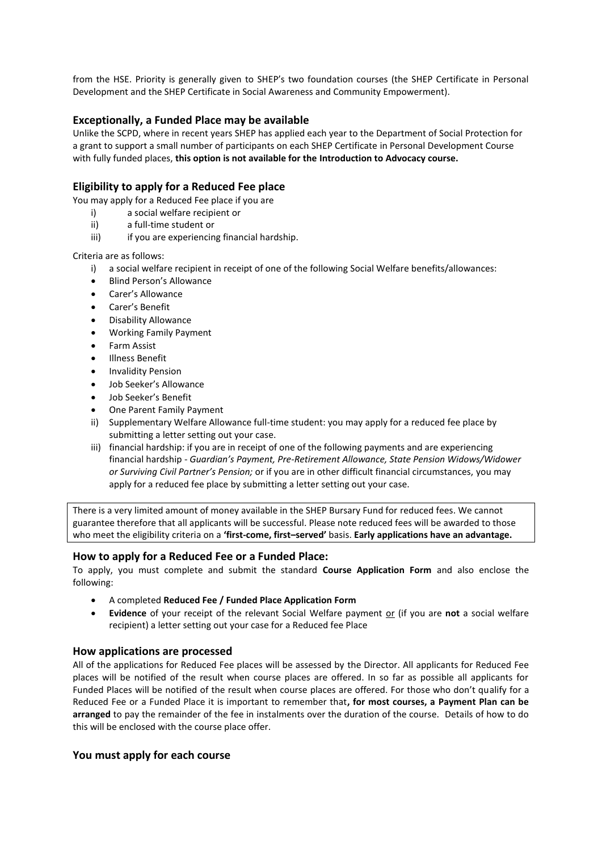from the HSE. Priority is generally given to SHEP's two foundation courses (the SHEP Certificate in Personal Development and the SHEP Certificate in Social Awareness and Community Empowerment).

# **Exceptionally, a Funded Place may be available**

Unlike the SCPD, where in recent years SHEP has applied each year to the Department of Social Protection for a grant to support a small number of participants on each SHEP Certificate in Personal Development Course with fully funded places, **this option is not available for the Introduction to Advocacy course.** 

# **Eligibility to apply for a Reduced Fee place**

You may apply for a Reduced Fee place if you are

- i) a social welfare recipient or
- ii) a full-time student or
- iii) iii) if you are experiencing financial hardship.

Criteria are as follows:

- i) a social welfare recipient in receipt of one of the following Social Welfare benefits/allowances:
- Blind Person's Allowance
- Carer's Allowance
- Carer's Benefit
- Disability Allowance
- Working Family Payment
- Farm Assist
- Illness Benefit
- Invalidity Pension
- Job Seeker's Allowance
- Job Seeker's Benefit
- One Parent Family Payment
- ii) Supplementary Welfare Allowance full-time student: you may apply for a reduced fee place by submitting a letter setting out your case.
- iii) financial hardship: if you are in receipt of one of the following payments and are experiencing financial hardship - *Guardian's Payment, Pre-Retirement Allowance, State Pension Widows/Widower or Surviving Civil Partner's Pension;* or if you are in other difficult financial circumstances, you may apply for a reduced fee place by submitting a letter setting out your case.

There is a very limited amount of money available in the SHEP Bursary Fund for reduced fees. We cannot guarantee therefore that all applicants will be successful. Please note reduced fees will be awarded to those who meet the eligibility criteria on a **'first-come, first–served'** basis. **Early applications have an advantage.** 

## **How to apply for a Reduced Fee or a Funded Place:**

To apply, you must complete and submit the standard **Course Application Form** and also enclose the following:

- A completed **Reduced Fee / Funded Place Application Form**
- **Evidence** of your receipt of the relevant Social Welfare payment or (if you are **not** a social welfare recipient) a letter setting out your case for a Reduced fee Place

## **How applications are processed**

All of the applications for Reduced Fee places will be assessed by the Director. All applicants for Reduced Fee places will be notified of the result when course places are offered. In so far as possible all applicants for Funded Places will be notified of the result when course places are offered. For those who don't qualify for a Reduced Fee or a Funded Place it is important to remember that**, for most courses, a Payment Plan can be arranged** to pay the remainder of the fee in instalments over the duration of the course. Details of how to do this will be enclosed with the course place offer.

## **You must apply for each course**